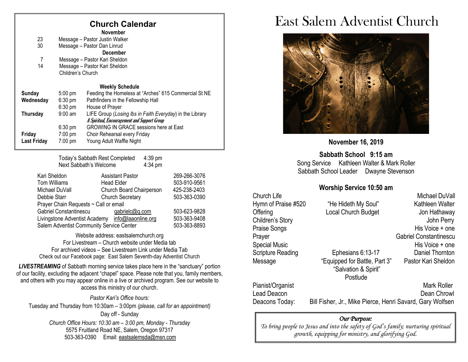### **Church Calendar**

**November**

| 23                 |                        | Message - Pastor Justin Walker                           |
|--------------------|------------------------|----------------------------------------------------------|
| 30                 |                        | Message - Pastor Dan Linrud                              |
|                    |                        | December                                                 |
| 7                  |                        | Message - Pastor Kari Sheldon                            |
| 14                 |                        | Message - Pastor Kari Sheldon                            |
|                    | Children's Church      |                                                          |
|                    | <b>Weekly Schedule</b> |                                                          |
| <b>Sunday</b>      | $5:00$ pm              | Feeding the Homeless at "Arches" 615 Commercial St NE    |
| Wednesday          | $6:30 \text{ pm}$      | Pathfinders in the Fellowship Hall                       |
|                    | $6:30$ pm              | House of Prayer                                          |
| Thursday           | $9:00$ am              | LIFE Group (Losing Ibs in Faith Everyday) in the Library |
|                    |                        | A Spiritual, Encouragement and Support Group             |
|                    | $6:30 \text{ pm}$      | <b>GROWING IN GRACE sessions here at East</b>            |
| Friday             | $7:00 \text{ pm}$      | Choir Rehearsal every Friday                             |
| <b>Last Friday</b> | 7:00 pm                | Young Adult Waffle Night                                 |
|                    |                        |                                                          |

Today's Sabbath Rest Completed 4:39 pm<br>Next Sabbath's Welcome 4:34 pm Next Sabbath's Welcome

| Kari Sheldon                                     | <b>Assistant Pastor</b>  | 269-266-3076 |
|--------------------------------------------------|--------------------------|--------------|
| Tom Williams                                     | <b>Head Elder</b>        | 503-910-9561 |
| Michael DuVall                                   | Church Board Chairperson | 425-238-2403 |
| Debbie Starr                                     | <b>Church Secretary</b>  | 503-363-0390 |
| Prayer Chain Requests ~ Call or email            |                          |              |
| Gabriel Constantinescu                           | gabrielc@q.com           | 503-623-9828 |
| Livingstone Adventist Academy info@laaonline.org |                          | 503-363-9408 |
| Salem Adventist Community Service Center         |                          | 503-363-8893 |
|                                                  |                          |              |

Website address: [eastsalemchurch.org](http://eastsalem.adventists.info/) For Livestream – Church website under Media tab For archived videos – See Livestream Link under Media Tab Check out our Facebook page: East Salem Seventh-day Adventist Church

**LIVESTREAMING** of Sabbath morning service takes place here in the "sanctuary" portion of our facility, excluding the adjacent "chapel" space. Please note that you, family members, and others with you may appear online in a live or archived program. See our website to access this ministry of our church.

*Pastor Kari's Office hours:* Tuesday and Thursday from 10:30am – 3:00pm *(please, call for an appointment)* Day off - Sunday *Church Office Hours: 10:30 am – 3:00 pm, Monday - Thursday* 5575 Fruitland Road NE, Salem, Oregon 97317 503-363-0390 Email: [eastsalemsda@msn.com](mailto:eastsalemsda@msn.com)

# East Salem Adventist Church



**November 16, 2019**

**Sabbath School 9:15 am** Song Service Kathleen Walter & Mark Roller Sabbath School Leader Dwayne Stevenson

### **Worship Service 10:50 am**

| Church Life         |                                                           | Michael DuVall                |
|---------------------|-----------------------------------------------------------|-------------------------------|
| Hymn of Praise #520 | "He Hideth My Soul"                                       | Kathleen Walter               |
| Offering            | Local Church Budget                                       | Jon Hathaway                  |
| Children's Story    |                                                           | John Perry                    |
| Praise Songs        |                                                           | His Voice + one               |
| Prayer              |                                                           | <b>Gabriel Constantinescu</b> |
| Special Music       |                                                           | His Voice + one               |
| Scripture Reading   | Ephesians 6:13-17                                         | Daniel Thornton               |
| Message             | "Equipped for Battle, Part 3"<br>"Salvation & Spirit"     | Pastor Kari Sheldon           |
|                     | Postlude                                                  |                               |
| Pianist/Organist    |                                                           | <b>Mark Roller</b>            |
| Lead Deacon         |                                                           | Dean Chrowl                   |
| Deacons Today:      | Bill Fisher, Jr., Mike Pierce, Henri Savard, Gary Wolfsen |                               |
|                     |                                                           |                               |

#### *Our Purpose:*

*To bring people to Jesus and into the safety of God's family; nurturing spiritual growth, equipping for ministry, and glorifying God.*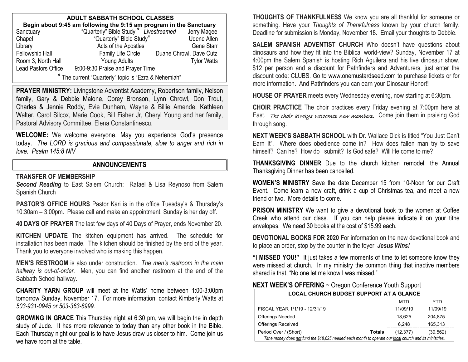| <b>ADULT SABBATH SCHOOL CLASSES</b>                                |                                                    |                         |  |  |  |  |  |  |
|--------------------------------------------------------------------|----------------------------------------------------|-------------------------|--|--|--|--|--|--|
| Begin about 9:45 am following the 9:15 am program in the Sanctuary |                                                    |                         |  |  |  |  |  |  |
| Sanctuary                                                          | "Quarterly" Bible Study * Livestreamed Jerry Magee |                         |  |  |  |  |  |  |
| Chapel                                                             | "Quarterly" Bible Study"                           | <b>Udene Allen</b>      |  |  |  |  |  |  |
| Library                                                            | Acts of the Apostles                               | <b>Gene Starr</b>       |  |  |  |  |  |  |
| <b>Fellowship Hall</b>                                             | Family Life Circle                                 | Duane Chrowl, Dave Cutz |  |  |  |  |  |  |
| Room 3, North Hall                                                 | Young Adults                                       | <b>Tylor Watts</b>      |  |  |  |  |  |  |
| Lead Pastors Office                                                | 9:00-9:30 Praise and Prayer Time                   |                         |  |  |  |  |  |  |
| * The current "Quarterly" topic is "Ezra & Nehemiah"               |                                                    |                         |  |  |  |  |  |  |

**PRAYER MINISTRY:** Livingstone Adventist Academy, Robertson family, Nelson family, Gary & Debbie Malone, Corey Bronson, Lynn Chrowl, Don Trout, Charles & Jennie Roddy, Evie Dunham, Wayne & Billie Amende, Kathleen Walter, Carol Silcox, Marie Cook, Bill Fisher Jr, Cheryl Young and her family, Pastoral Advisory Committee, Elena Constantinescu.

**WELCOME:** We welcome everyone. May you experience God's presence today. *The LORD is gracious and compassionate, slow to anger and rich in love. Psalm 145:8 NIV*

#### **ANNOUNCEMENTS**

#### **TRANSFER OF MEMBERSHIP**

*Second Reading* to East Salem Church: Rafael & Lisa Reynoso from Salem Spanish Church

**PASTOR'S OFFICE HOURS** Pastor Kari is in the office Tuesday's & Thursday's 10:30am – 3:00pm. Please call and make an appointment. Sunday is her day off.

**40 DAYS OF PRAYER** The last few days of 40 Days of Prayer, ends November 20.

**KITCHEN UPDATE** The kitchen equipment has arrived. The schedule for installation has been made. The kitchen should be finished by the end of the year. Thank you to everyone involved who is making this happen.

**MEN'S RESTROOM** is also under construction. *The men's restroom in the main hallway is out-of-order.* Men, you can find another restroom at the end of the Sabbath School hallway.

**CHARITY YARN GROUP** will meet at the Watts' home between 1:00-3:00pm tomorrow Sunday, November 17. For more information, contact Kimberly Watts at *503-931-0945 or 503-363-8999.*

**GROWING IN GRACE** This Thursday night at 6:30 pm, we will begin the in depth study of Jude. It has more relevance to today than any other book in the Bible. Each Thursday night our goal is to have Jesus draw us closer to him. Come join us we have room at the table.

**THOUGHTS OF THANKFULNESS** We know you are all thankful for someone or something. Have your *Thoughts of Thankfulness* known by your church family. Deadline for submission is Monday, November 18. Email your thoughts to Debbie.

**SALEM SPANISH ADVENTIST CHURCH** Who doesn't have questions about dinosaurs and how they fit into the Biblical world-view? Sunday, November 17 at 4:00pm the Salem Spanish is hosting Rich Aguilera and his live dinosaur show. \$12 per person and a discount for Pathfinders and Adventurers, just enter the discount code: CLUBS. Go to [www.onemustardseed.com](http://www.onemustardseed.com/) to purchase tickets or for more information. And Pathfinders you can earn your Dinosaur Honor!!

**HOUSE OF PRAYER** meets every Wednesday evening, now starting at 6:30pm.

**CHOIR PRACTICE** The choir practices every Friday evening at 7:00pm here at East. The choir always welcomes new members. Come join them in praising God through song.

**NEXT WEEK'S SABBATH SCHOOL** with Dr. Wallace Dick is titled "You Just Can't Earn It". Where does obedience come in? How does fallen man try to save himself? Can he? How do I submit? Is God safe? Will He come to me?

**THANKSGIVING DINNER** Due to the church kitchen remodel, the Annual Thanksgiving Dinner has been cancelled.

**WOMEN'S MINISTRY** Save the date December 15 from 10-Noon for our Craft Event. Come learn a new craft, drink a cup of Christmas tea, and meet a new friend or two. More details to come.

**PRISON MINISTRY** We want to give a devotional book to the women at Coffee Creek who attend our class. If you can help please indicate it on your tithe envelopes. We need 30 books at the cost of \$15.99 each.

**DEVOTIONAL BOOKS FOR 2020** For information on the new devotional book and to place an order, stop by the counter in the foyer. *Jesus Wins!*

**"I MISSED YOU!"** It just takes a few moments of time to let someone know they were missed at church. In my ministry the common thing that inactive members shared is that, "No one let me know I was missed."

#### **NEXT WEEK'S OFFERING** ~ Oregon Conference Youth Support

| <b>LOCAL CHURCH BUDGET SUPPORT AT A GLANCE</b>                                                           |        |          |           |  |  |
|----------------------------------------------------------------------------------------------------------|--------|----------|-----------|--|--|
|                                                                                                          |        | MTD      | YTD       |  |  |
| FISCAL YEAR 1/1/19 - 12/31/19                                                                            |        | 11/09/19 | 11/09/19  |  |  |
| <b>Offerings Needed</b>                                                                                  |        | 18.625   | 204,875   |  |  |
| <b>Offerings Received</b>                                                                                |        | 6,248    | 165,313   |  |  |
| Period Over / (Short)                                                                                    | Totals | (12.377) | (39, 562) |  |  |
| Tithe money does not fund the \$18,625 needed each month to operate our local church and its ministries. |        |          |           |  |  |